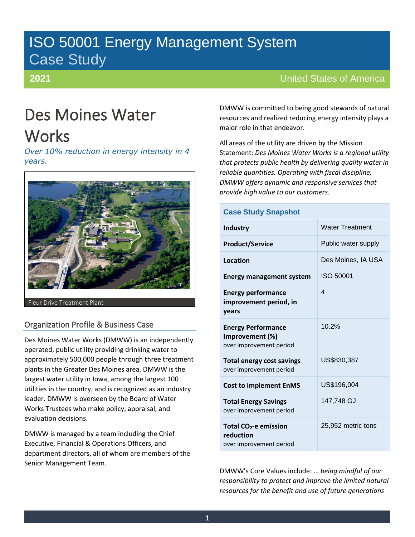# ISO 50001 Energy Management System Case Study

# **2021**

# United States of America

# Des Moines Water **Works**

*Over 10% reduction in energy intensity in 4 years.*



Fleur Drive Treatment Plant

# Organization Profile & Business Case

Des Moines Water Works (DMWW) is an independently operated, public utility providing drinking water to approximately 500,000 people through three treatment plants in the Greater Des Moines area. DMWW is the largest water utility in Iowa, among the largest 100 utilities in the country, and is recognized as an industry leader. DMWW is overseen by the Board of Water Works Trustees who make policy, appraisal, and evaluation decisions.

DMWW is managed by a team including the Chief Executive, Financial & Operations Officers, and department directors, all of whom are members of the Senior Management Team.

DMWW is committed to being good stewards of natural resources and realized reducing energy intensity plays a major role in that endeavor.

All areas of the utility are driven by the Mission Statement: *Des Moines Water Works is a regional utility that protects public health by delivering quality water in reliable quantities. Operating with fiscal discipline, DMWW offers dynamic and responsive services that provide high value to our customers.*

| <b>Case Study Snapshot</b>                                                |                        |
|---------------------------------------------------------------------------|------------------------|
| <b>Industry</b>                                                           | <b>Water Treatment</b> |
| <b>Product/Service</b>                                                    | Public water supply    |
| <b>Location</b>                                                           | Des Moines, IA USA     |
| <b>Energy management system</b>                                           | ISO 50001              |
| <b>Energy performance</b><br>improvement period, in<br>vears              | $\boldsymbol{\Delta}$  |
| <b>Energy Performance</b><br>Improvement (%)<br>over improvement period   | 10.2%                  |
| <b>Total energy cost savings</b><br>over improvement period               | US\$830,387            |
| <b>Cost to implement EnMS</b>                                             | US\$196,004            |
| <b>Total Energy Savings</b><br>over improvement period                    | 147.748 GJ             |
| Total CO <sub>2</sub> -e emission<br>reduction<br>over improvement period | 25,952 metric tons     |

DMWW's Core Values include: … *being mindful of our responsibility to protect and improve the limited natural resources for the benefit and use of future generations*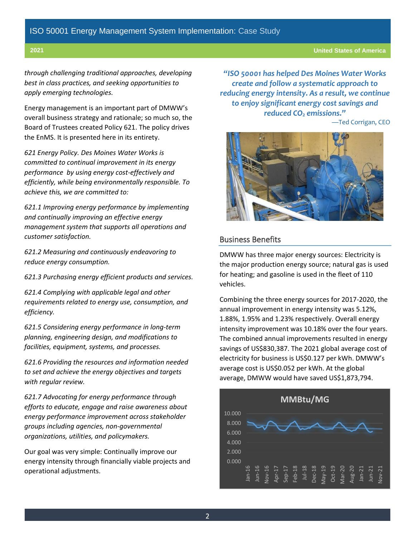*through challenging traditional approaches, developing best in class practices, and seeking opportunities to apply emerging technologies.*

Energy management is an important part of DMWW's overall business strategy and rationale; so much so, the Board of Trustees created Policy 621. The policy drives the EnMS. It is presented here in its entirety.

*621 Energy Policy. Des Moines Water Works is committed to continual improvement in its energy performance by using energy cost-effectively and efficiently, while being environmentally responsible. To achieve this, we are committed to:*

*621.1 Improving energy performance by implementing and continually improving an effective energy management system that supports all operations and customer satisfaction.*

*621.2 Measuring and continuously endeavoring to reduce energy consumption.*

*621.3 Purchasing energy efficient products and services.*

*621.4 Complying with applicable legal and other requirements related to energy use, consumption, and efficiency.*

*621.5 Considering energy performance in long-term planning, engineering design, and modifications to facilities, equipment, systems, and processes.*

*621.6 Providing the resources and information needed to set and achieve the energy objectives and targets with regular review.*

*621.7 Advocating for energy performance through efforts to educate, engage and raise awareness about energy performance improvement across stakeholder groups including agencies, non-governmental organizations, utilities, and policymakers.*

Our goal was very simple: Continually improve our energy intensity through financially viable projects and operational adjustments.

*"ISO 50001 has helped Des Moines Water Works create and follow a systematic approach to reducing energy intensity. As a result, we continue to enjoy significant energy cost savings and reduced CO<sup>2</sup> emissions."*

—Ted Corrigan, CEO



# Business Benefits

DMWW has three major energy sources: Electricity is the major production energy source; natural gas is used for heating; and gasoline is used in the fleet of 110 vehicles.

Combining the three energy sources for 2017-2020, the annual improvement in energy intensity was 5.12%, 1.88%, 1.95% and 1.23% respectively. Overall energy intensity improvement was 10.18% over the four years. The combined annual improvements resulted in energy savings of US\$830,387. The 2021 global average cost of electricity for business is US\$0.127 per kWh. DMWW's average cost is US\$0.052 per kWh. At the global average, DMWW would have saved US\$1,873,794.

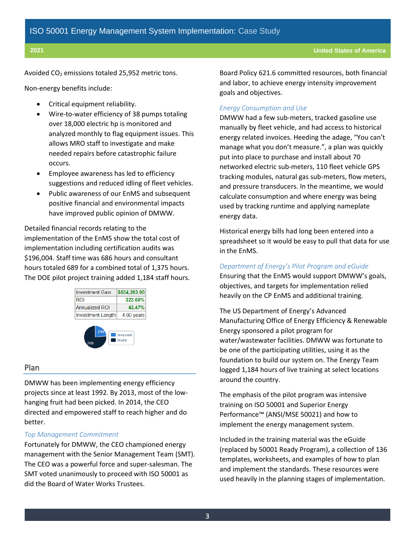Avoided CO<sup>2</sup> emissions totaled 25,952 metric tons.

Non-energy benefits include:

- Critical equipment reliability.
- Wire-to-water efficiency of 38 pumps totaling over 18,000 electric hp is monitored and analyzed monthly to flag equipment issues. This allows MRO staff to investigate and make needed repairs before catastrophic failure occurs.
- Employee awareness has led to efficiency suggestions and reduced idling of fleet vehicles.
- Public awareness of our EnMS and subsequent positive financial and environmental impacts have improved public opinion of DMWW.

Detailed financial records relating to the implementation of the EnMS show the total cost of implementation including certification audits was \$196,004. Staff time was 686 hours and consultant hours totaled 689 for a combined total of 1,375 hours. The DOE pilot project training added 1,184 staff hours.





#### Plan

DMWW has been implementing energy efficiency projects since at least 1992. By 2013, most of the lowhanging fruit had been picked. In 2014, the CEO directed and empowered staff to reach higher and do better.

#### *Top Management Commitment*

Fortunately for DMWW, the CEO championed energy management with the Senior Management Team (SMT). The CEO was a powerful force and super-salesman. The SMT voted unanimously to proceed with ISO 50001 as did the Board of Water Works Trustees.

Board Policy 621.6 committed resources, both financial and labor, to achieve energy intensity improvement goals and objectives.

### *Energy Consumption and Use*

DMWW had a few sub-meters, tracked gasoline use manually by fleet vehicle, and had access to historical energy related invoices. Heeding the adage, "You can't manage what you don't measure.", a plan was quickly put into place to purchase and install about 70 networked electric sub-meters, 110 fleet vehicle GPS tracking modules, natural gas sub-meters, flow meters, and pressure transducers. In the meantime, we would calculate consumption and where energy was being used by tracking runtime and applying nameplate energy data.

Historical energy bills had long been entered into a spreadsheet so it would be easy to pull that data for use in the EnMS.

#### *Department of Energy's Pilot Program and eGuide*

Ensuring that the EnMS would support DMWW's goals, objectives, and targets for implementation relied heavily on the CP EnMS and additional training.

The US Department of Energy's Advanced Manufacturing Office of Energy Efficiency & Renewable Energy sponsored a pilot program for water/wastewater facilities. DMWW was fortunate to be one of the participating utilities, using it as the foundation to build our system on. The Energy Team logged 1,184 hours of live training at select locations around the country.

The emphasis of the pilot program was intensive training on ISO 50001 and Superior Energy Performance™ (ANSI/MSE 50021) and how to implement the energy management system.

Included in the training material was the eGuide (replaced by 50001 Ready Program), a collection of 136 templates, worksheets, and examples of how to plan and implement the standards. These resources were used heavily in the planning stages of implementation.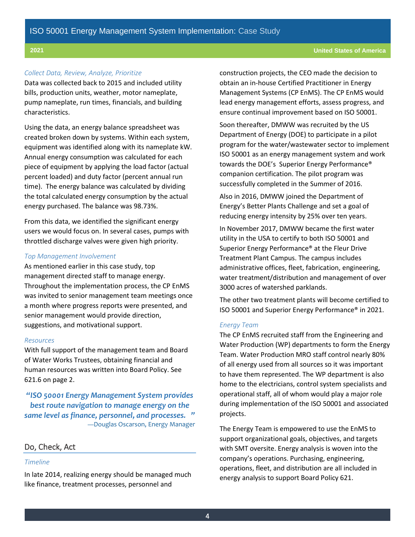#### *Collect Data, Review, Analyze, Prioritize*

Data was collected back to 2015 and included utility bills, production units, weather, motor nameplate, pump nameplate, run times, financials, and building characteristics.

Using the data, an energy balance spreadsheet was created broken down by systems. Within each system, equipment was identified along with its nameplate kW. Annual energy consumption was calculated for each piece of equipment by applying the load factor (actual percent loaded) and duty factor (percent annual run time). The energy balance was calculated by dividing the total calculated energy consumption by the actual energy purchased. The balance was 98.73%.

From this data, we identified the significant energy users we would focus on. In several cases, pumps with throttled discharge valves were given high priority.

#### *Top Management Involvement*

As mentioned earlier in this case study, top management directed staff to manage energy. Throughout the implementation process, the CP EnMS was invited to senior management team meetings once a month where progress reports were presented, and senior management would provide direction, suggestions, and motivational support.

#### *Resources*

With full support of the management team and Board of Water Works Trustees, obtaining financial and human resources was written into Board Policy. See 621.6 on page 2.

*"ISO 50001 Energy Management System provides best route navigation to manage energy on the same level as finance, personnel, and processes. "* —Douglas Oscarson, Energy Manager

# Do, Check, Act

#### *Timeline*

In late 2014, realizing energy should be managed much like finance, treatment processes, personnel and

construction projects, the CEO made the decision to obtain an in-house Certified Practitioner in Energy Management Systems (CP EnMS). The CP EnMS would lead energy management efforts, assess progress, and ensure continual improvement based on ISO 50001.

Soon thereafter, DMWW was recruited by the US Department of Energy (DOE) to participate in a pilot program for the water/wastewater sector to implement ISO 50001 as an energy management system and work towards the DOE's Superior Energy Performance® companion certification. The pilot program was successfully completed in the Summer of 2016.

Also in 2016, DMWW joined the Department of Energy's Better Plants Challenge and set a goal of reducing energy intensity by 25% over ten years.

In November 2017, DMWW became the first water utility in the USA to certify to both ISO 50001 and Superior Energy Performance® at the Fleur Drive Treatment Plant Campus. The campus includes administrative offices, fleet, fabrication, engineering, water treatment/distribution and management of over 3000 acres of watershed parklands.

The other two treatment plants will become certified to ISO 50001 and Superior Energy Performance® in 2021.

#### *Energy Team*

The CP EnMS recruited staff from the Engineering and Water Production (WP) departments to form the Energy Team. Water Production MRO staff control nearly 80% of all energy used from all sources so it was important to have them represented. The WP department is also home to the electricians, control system specialists and operational staff, all of whom would play a major role during implementation of the ISO 50001 and associated projects.

The Energy Team is empowered to use the EnMS to support organizational goals, objectives, and targets with SMT oversite. Energy analysis is woven into the company's operations. Purchasing, engineering, operations, fleet, and distribution are all included in energy analysis to support Board Policy 621.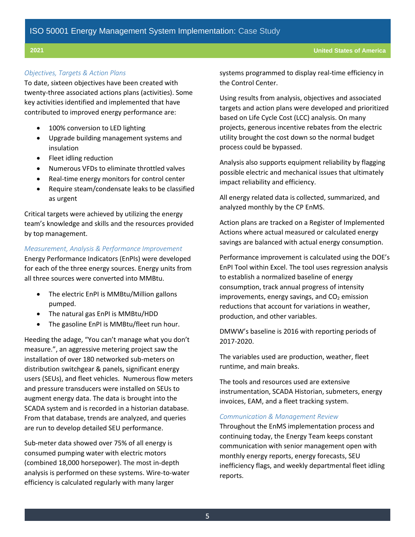#### *Objectives, Targets & Action Plans*

To date, sixteen objectives have been created with twenty-three associated actions plans (activities). Some key activities identified and implemented that have contributed to improved energy performance are:

- 100% conversion to LED lighting
- Upgrade building management systems and insulation
- Fleet idling reduction
- Numerous VFDs to eliminate throttled valves
- Real-time energy monitors for control center
- Require steam/condensate leaks to be classified as urgent

Critical targets were achieved by utilizing the energy team's knowledge and skills and the resources provided by top management.

#### *Measurement, Analysis & Performance Improvement*

Energy Performance Indicators (EnPIs) were developed for each of the three energy sources. Energy units from all three sources were converted into MMBtu.

- The electric EnPI is MMBtu/Million gallons pumped.
- The natural gas EnPI is MMBtu/HDD
- The gasoline EnPI is MMBtu/fleet run hour.

Heeding the adage, "You can't manage what you don't measure.", an aggressive metering project saw the installation of over 180 networked sub-meters on distribution switchgear & panels, significant energy users (SEUs), and fleet vehicles. Numerous flow meters and pressure transducers were installed on SEUs to augment energy data. The data is brought into the SCADA system and is recorded in a historian database. From that database, trends are analyzed, and queries are run to develop detailed SEU performance.

Sub-meter data showed over 75% of all energy is consumed pumping water with electric motors (combined 18,000 horsepower). The most in-depth analysis is performed on these systems. Wire-to-water efficiency is calculated regularly with many larger

systems programmed to display real-time efficiency in the Control Center.

Using results from analysis, objectives and associated targets and action plans were developed and prioritized based on Life Cycle Cost (LCC) analysis. On many projects, generous incentive rebates from the electric utility brought the cost down so the normal budget process could be bypassed.

Analysis also supports equipment reliability by flagging possible electric and mechanical issues that ultimately impact reliability and efficiency.

All energy related data is collected, summarized, and analyzed monthly by the CP EnMS.

Action plans are tracked on a Register of Implemented Actions where actual measured or calculated energy savings are balanced with actual energy consumption.

Performance improvement is calculated using the DOE's EnPI Tool within Excel. The tool uses regression analysis to establish a normalized baseline of energy consumption, track annual progress of intensity improvements, energy savings, and  $CO<sub>2</sub>$  emission reductions that account for variations in weather, production, and other variables.

DMWW's baseline is 2016 with reporting periods of 2017-2020.

The variables used are production, weather, fleet runtime, and main breaks.

The tools and resources used are extensive instrumentation, SCADA Historian, submeters, energy invoices, EAM, and a fleet tracking system.

#### *Communication & Management Review*

Throughout the EnMS implementation process and continuing today, the Energy Team keeps constant communication with senior management open with monthly energy reports, energy forecasts, SEU inefficiency flags, and weekly departmental fleet idling reports.